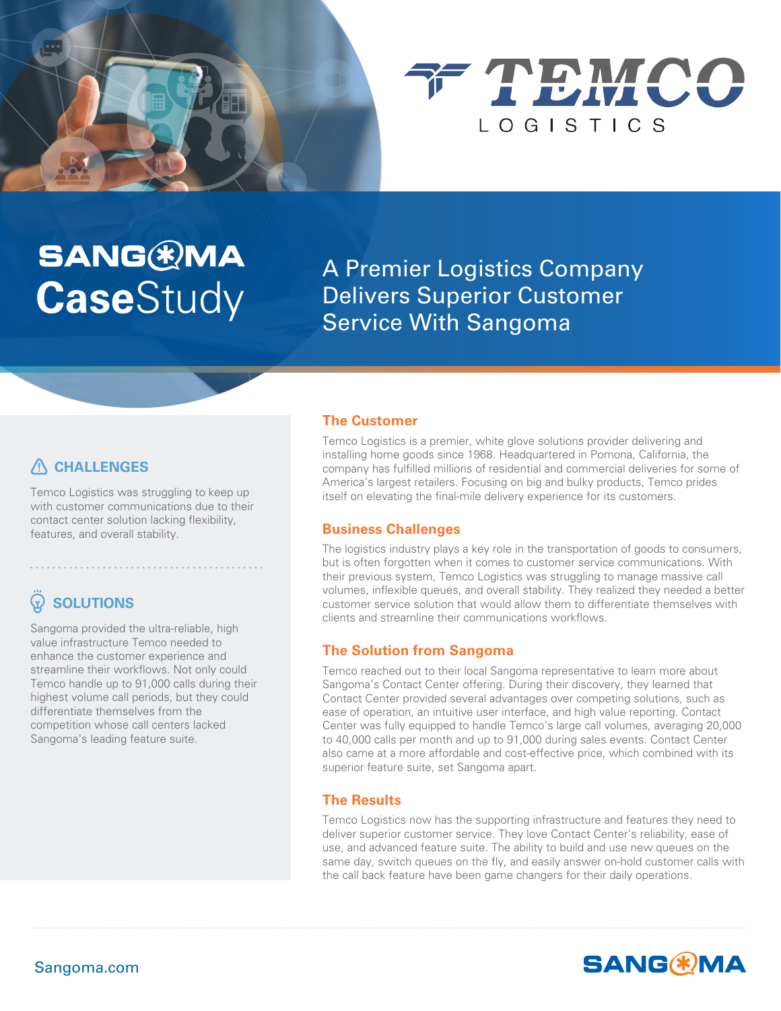



**SANG & MA A Premier Logistics Company<br>
<b>Case**Study Delivers Superior Customer Delivers Superior Customer Service With Sangoma

## **CHALLENGES**

Temco Logistics was struggling to keep up with customer communications due to their contact center solution lacking flexibility, features, and overall stability.

••••••••••••••••••••••••••••••••••••••••••

# **SOLUTIONS**

Sangoma provided the ultra-reliable, high value infrastructure Temco needed to enhance the customer experience and streamline their workflows. Not only could Temco handle up to 91,000 calls during their highest volume call periods, but they could differentiate themselves from the competition whose call centers lacked Sangoma's leading feature suite.

#### **The Customer**

Temco Logistics is a premier, white glove solutions provider delivering and installing home goods since 1968. Headquartered in Pomona, California, the company has fullled millions of residential and commercial deliveries for some of America's largest retailers. Focusing on big and bulky products, Temco prides itself on elevating the final-mile delivery experience for its customers.

#### **Business Challenges**

The logistics industry plays a key role in the transportation of goods to consumers, but is often forgotten when it comes to customer service communications. With their previous system, Temco Logistics was struggling to manage massive call volumes, inflexible queues, and overall stability. They realized they needed a better customer service solution that would allow them to differentiate themselves with clients and streamline their communications workflows.

#### **The Solution from Sangoma**

Temco reached out to their local Sangoma representative to learn more about Sangoma's Contact Center offering. During their discovery, they learned that Contact Center provided several advantages over competing solutions, such as ease of operation, an intuitive user interface, and high value reporting. Contact Center was fully equipped to handle Temco's large call volumes, averaging 20,000 to 40,000 calls per month and up to 91,000 during sales events. Contact Center also came at a more affordable and cost-effective price, which combined with its superior feature suite, set Sangoma apart.

#### **The Results**

Temco Logistics now has the supporting infrastructure and features they need to deliver superior customer service. They love Contact Center's reliability, ease of use, and advanced feature suite. The ability to build and use new queues on the same day, switch queues on the fly, and easily answer on-hold customer calls with the call back feature have been game changers for their daily operations.

**SANG(\*)MA** 

### Sangoma.com